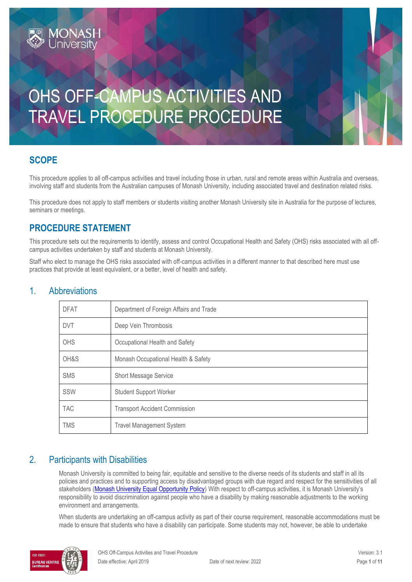# OHS OFF-CAMPUS ACTIVITIES AND TRAVEL PROCEDURE PROCEDURE

### **SCOPE**

This procedure applies to all off-campus activities and travel including those in urban, rural and remote areas within Australia and overseas, involving staff and students from the Australian campuses of Monash University, including associated travel and destination related risks.

This procedure does not apply to staff members or students visiting another Monash University site in Australia for the purpose of lectures, seminars or meetings.

### **PROCEDURE STATEMENT**

**MONASH**<br>Jniversity

This procedure sets out the requirements to identify, assess and control Occupational Health and Safety (OHS) risks associated with all offcampus activities undertaken by staff and students at Monash University.

Staff who elect to manage the OHS risks associated with off-campus activities in a different manner to that described here must use practices that provide at least equivalent, or a better, level of health and safety.

| <b>DFAT</b> | Department of Foreign Affairs and Trade |  |
|-------------|-----------------------------------------|--|
| <b>DVT</b>  | Deep Vein Thrombosis                    |  |
| <b>OHS</b>  | Occupational Health and Safety          |  |
| OH&S        | Monash Occupational Health & Safety     |  |
| <b>SMS</b>  | <b>Short Message Service</b>            |  |
| SSW         | <b>Student Support Worker</b>           |  |
| <b>TAC</b>  | <b>Transport Accident Commission</b>    |  |
| <b>TMS</b>  | <b>Travel Management System</b>         |  |

### 1. Abbreviations

### 2. Participants with Disabilities

Monash University is committed to being fair, equitable and sensitive to the diverse needs of its students and staff in all its policies and practices and to supporting access by disadvantaged groups with due regard and respect for the sensitivities of all stakeholders [\(Monash University Equal Opportunity Policy\)](https://publicpolicydms.monash.edu/Monash/documents/1935682) With respect to off-campus activities, it is Monash University's responsibility to avoid discrimination against people who have a disability by making reasonable adjustments to the working environment and arrangements.

When students are undertaking an off-campus activity as part of their course requirement, reasonable accommodations must be made to ensure that students who have a disability can participate. Some students may not, however, be able to undertake

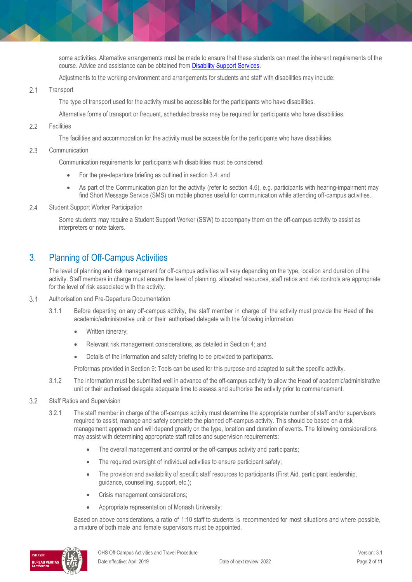some activities. Alternative arrangements must be made to ensure that these students can meet the inherent requirements of the course. Advice and assistance can be obtained fro[m Disability Support Services.](https://www.monash.edu/disability)

Adjustments to the working environment and arrangements for students and staff with disabilities may include:

 $2.1$ **Transport** 

The type of transport used for the activity must be accessible for the participants who have disabilities.

Alternative forms of transport or frequent, scheduled breaks may be required for participants who have disabilities.

 $22$ **Facilities** 

The facilities and accommodation for the activity must be accessible for the participants who have disabilities.

 $2.3$ Communication

Communication requirements for participants with disabilities must be considered:

- For the pre-departure briefing as outlined in section 3.4; and
- As part of the Communication plan for the activity (refer to section 4.6), e.g. participants with hearing-impairment may find Short Message Service (SMS) on mobile phones useful for communication while attending off-campus activities.
- $2.4$ Student Support Worker Participation

Some students may require a Student Support Worker (SSW) to accompany them on the off-campus activity to assist as interpreters or note takers.

### 3. Planning of Off-Campus Activities

The level of planning and risk management for off-campus activities will vary depending on the type, location and duration of the activity. Staff members in charge must ensure the level of planning, allocated resources, staff ratios and risk controls are appropriate for the level of risk associated with the activity.

- $3.1$ Authorisation and Pre-Departure Documentation
	- 3.1.1 Before departing on any off-campus activity, the staff member in charge of the activity must provide the Head of the academic/administrative unit or their authorised delegate with the following information:
		- Written itinerary;
		- Relevant risk management considerations, as detailed in Section 4; and
		- Details of the information and safety briefing to be provided to participants.

Proformas provided in Section 9: Tools can be used for this purpose and adapted to suit the specific activity.

- 3.1.2 The information must be submitted well in advance of the off-campus activity to allow the Head of academic/administrative unit or their authorised delegate adequate time to assess and authorise the activity prior to commencement.
- $3.2$ Staff Ratios and Supervision
	- 3.2.1 The staff member in charge of the off-campus activity must determine the appropriate number of staff and/or supervisors required to assist, manage and safely complete the planned off-campus activity. This should be based on a risk management approach and will depend greatly on the type, location and duration of events. The following considerations may assist with determining appropriate staff ratios and supervision requirements:
		- The overall management and control or the off-campus activity and participants;
		- The required oversight of individual activities to ensure participant safety;
		- The provision and availability of specific staff resources to participants (First Aid, participant leadership, guidance, counselling, support, etc.);
		- Crisis management considerations;
		- Appropriate representation of Monash University;

Based on above considerations, a ratio of 1:10 staff to students is recommended for most situations and where possible, a mixture of both male and female supervisors must be appointed.

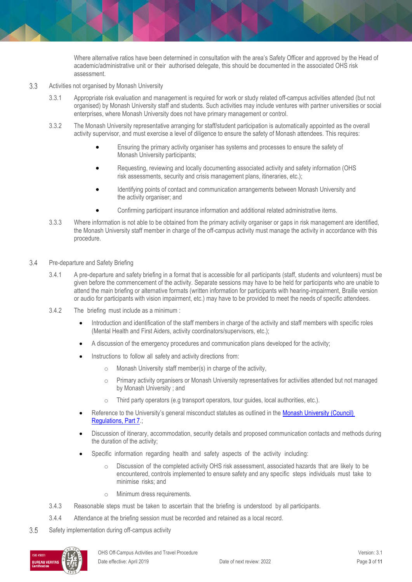Where alternative ratios have been determined in consultation with the area's Safety Officer and approved by the Head of academic/administrative unit or their authorised delegate, this should be documented in the associated OHS risk assessment.

- $3.3$ Activities not organised by Monash University
	- 3.3.1 Appropriate risk evaluation and management is required for work or study related off-campus activities attended (but not organised) by Monash University staff and students. Such activities may include ventures with partner universities or social enterprises, where Monash University does not have primary management or control.
	- 3.3.2 The Monash University representative arranging for staff/student participation is automatically appointed as the overall activity supervisor, and must exercise a level of diligence to ensure the safety of Monash attendees. This requires:
		- Ensuring the primary activity organiser has systems and processes to ensure the safety of Monash University participants;
		- Requesting, reviewing and locally documenting associated activity and safety information (OHS risk assessments, security and crisis management plans, itineraries, etc.);
		- Identifying points of contact and communication arrangements between Monash University and the activity organiser; and
		- Confirming participant insurance information and additional related administrative items.
	- 3.3.3 Where information is not able to be obtained from the primary activity organiser or gaps in risk management are identified, the Monash University staff member in charge of the off-campus activity must manage the activity in accordance with this procedure.
- 34 Pre-departure and Safety Briefing
	- 3.4.1 A pre-departure and safety briefing in a format that is accessible for all participants (staff, students and volunteers) must be given before the commencement of the activity. Separate sessions may have to be held for participants who are unable to attend the main briefing or alternative formats (written information for participants with hearing-impairment, Braille version or audio for participants with vision impairment, etc.) may have to be provided to meet the needs of specific attendees.
	- 3.4.2 The briefing must include as a minimum :
		- Introduction and identification of the staff members in charge of the activity and staff members with specific roles (Mental Health and First Aiders, activity coordinators/supervisors, etc.);
		- A discussion of the emergency procedures and communication plans developed for the activity;
		- Instructions to follow all safety and activity directions from:
			- o Monash University staff member(s) in charge of the activity,
			- o Primary activity organisers or Monash University representatives for activities attended but not managed by Monash University ; and
			- o Third party operators (e.g transport operators, tour guides, local authorities, etc.).
		- Reference to the University's general misconduct statutes as outlined in the [Monash University \(Council\)](https://www.monash.edu/__data/assets/pdf_file/0007/1606471/Monash-University-Council-Regulations-as-at-2-January-2019.pdf)  [Regulations, Part 7.;](https://www.monash.edu/__data/assets/pdf_file/0007/1606471/Monash-University-Council-Regulations-as-at-2-January-2019.pdf)
		- Discussion of itinerary, accommodation, security details and proposed communication contacts and methods during the duration of the activity;
		- Specific information regarding health and safety aspects of the activity including:
			- o Discussion of the completed activity OHS risk assessment, associated hazards that are likely to be encountered, controls implemented to ensure safety and any specific steps individuals must take to minimise risks; and
			- o Minimum dress requirements.
	- 3.4.3 Reasonable steps must be taken to ascertain that the briefing is understood by all participants.
	- 3.4.4 Attendance at the briefing session must be recorded and retained as a local record.
- 3.5 Safety implementation during off-campus activity

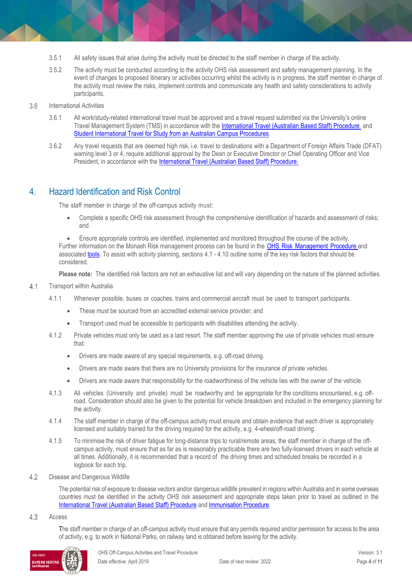- 3.5.1 All safety issues that arise during the activity must be directed to the staff member in charge of the activity.
- 3.5.2 The activity must be conducted according to the activity OHS risk assessment and safety management planning. In the event of changes to proposed itinerary or activities occurring whilst the activity is in progress, the staff member in charge of the activity must review the risks, implement controls and communicate any health and safety considerations to activity participants.
- 3.6 International Activities
	- 3.6.1 All work/study-related international travel must be approved and a travel request submitted via the University's online Travel Management System (TMS) in accordance with th[e International Travel \(Australian Based Staff\) Procedure](https://publicpolicydms.monash.edu/Monash/documents/1935693) and [Student International Travel for Study from an Australian Campus Procedures.](https://publicpolicydms.monash.edu/Monash/documents/1935790)
	- 3.6.2 Any travel requests that are deemed high risk, i.e. travel to destinations with a Department of Foreign Affairs Trade (DFAT) warning level 3 or 4, require additional approval by the Dean or Executive Director or Chief Operating Officer and Vice President, in accordance with the [International Travel \(Australian Based Staff\) Procedure.](https://publicpolicydms.monash.edu/Monash/documents/1935693)

### 4. Hazard Identification and Risk Control

The staff member in charge of the off-campus activity must:

 Complete a specific OHS risk assessment through the comprehensive identification of hazards and assessment of risks; and

 Ensure appropriate controls are identified, implemented and monitored throughout the course of the activity. Further information on the Monash Risk management process can be found in the OHS Risk [Management](https://publicpolicydms.monash.edu/Monash/documents/1935636) Procedure and associate[d tools.](https://www.monash.edu/ohs/info-docs/safety-topics/risk-management-and-work-safe-instructions) To assist with activity planning, sections 4.1 - 4.10 outline some of the key risk factors that should be considered.

**Please note:** The identified risk factors are not an exhaustive list and will vary depending on the nature of the planned activities.

- $4.1$ Transport within Australia
	- 4.1.1 Whenever possible, buses or coaches, trains and commercial aircraft must be used to transport participants.
		- These must be sourced from an accredited external service provider; and
		- Transport used must be accessible to participants with disabilities attending the activity.
	- 4.1.2 Private vehicles must only be used as a last resort. The staff member approving the use of private vehicles must ensure that:
		- Drivers are made aware of any special requirements, e.g. off-road driving.
		- Drivers are made aware that there are no University provisions for the insurance of private vehicles.
		- Drivers are made aware that responsibility for the roadworthiness of the vehicle lies with the owner of the vehicle.
	- 4.1.3 All vehicles (University and private) must be roadworthy and be appropriate for the conditions encountered, e.g. offroad. Consideration should also be given to the potential for vehicle breakdown and included in the emergency planning for the activity.
	- 4.1.4 The staff member in charge of the off-campus activity must ensure and obtain evidence that each driver is appropriately licensed and suitably trained for the driving required for the activity, e.g. 4-wheel/off-road driving.
	- 4.1.5 To minimise the risk of driver fatigue for long-distance trips to rural/remote areas, the staff member in charge of the offcampus activity, must ensure that as far as is reasonably practicable there are two fully-licensed drivers in each vehicle at all times. Additionally, it is recommended that a record of the driving times and scheduled breaks be recorded in a logbook for each trip.
- $4.2$ Disease and Dangerous Wildlife

The potential risk of exposure to disease vectors and/or dangerous wildlife prevalent in regions within Australia and in some overseas countries must be identified in the activity OHS risk assessment and appropriate steps taken prior to travel as outlined in the [International Travel \(Australian Based Staff\) Procedure](https://publicpolicydms.monash.edu/Monash/documents/1935693) and [Immunisation Procedure.](https://publicpolicydms.monash.edu/Monash/documents/1935616)

#### 4.3 Access

The staff member in charge of an off-campus activity must ensure that any permits required and/or permission for access to the area of activity, e.g. to work in National Parks, on railway land is obtained before leaving for the activity.

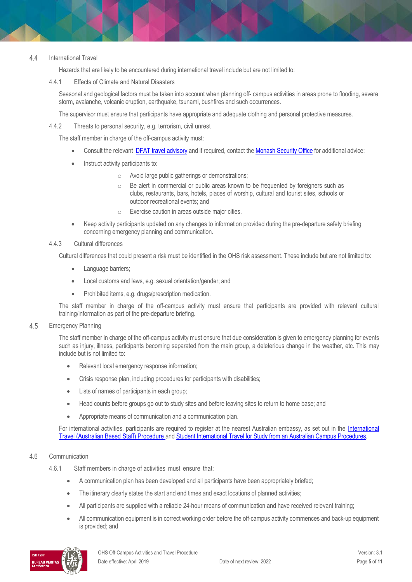#### $4.4$ International Travel

Hazards that are likely to be encountered during international travel include but are not limited to:

4.4.1 Effects of Climate and Natural Disasters

Seasonal and geological factors must be taken into account when planning off- campus activities in areas prone to flooding, severe storm, avalanche, volcanic eruption, earthquake, tsunami, bushfires and such occurrences.

The supervisor must ensure that participants have appropriate and adequate clothing and personal protective measures.

4.4.2 Threats to personal security, e.g. terrorism, civil unrest

The staff member in charge of the off-campus activity must:

- Consult the relevant [DFAT travel advisory](https://smartraveller.gov.au/guide/all-travellers/Pages/default.aspx) and if required, contact the [Monash Security Office](mailto:travelsecurity.monash.edu) for additional advice;
- Instruct activity participants to:
	- o Avoid large public gatherings or demonstrations;
	- o Be alert in commercial or public areas known to be frequented by foreigners such as clubs, restaurants, bars, hotels, places of worship, cultural and tourist sites, schools or outdoor recreational events; and
	- o Exercise caution in areas outside major cities.
- Keep activity participants updated on any changes to information provided during the pre-departure safety briefing concerning emergency planning and communication.

#### 4.4.3 Cultural differences

Cultural differences that could present a risk must be identified in the OHS risk assessment. These include but are not limited to:

- Language barriers;
- Local customs and laws, e.g. sexual orientation/gender; and
- Prohibited items, e.g. drugs/prescription medication.

The staff member in charge of the off-campus activity must ensure that participants are provided with relevant cultural training/information as part of the pre-departure briefing.

#### 4.5 Emergency Planning

The staff member in charge of the off-campus activity must ensure that due consideration is given to emergency planning for events such as injury, illness, participants becoming separated from the main group, a deleterious change in the weather, etc. This may include but is not limited to:

- Relevant local emergency response information;
- Crisis response plan, including procedures for participants with disabilities;
- Lists of names of participants in each group;
- Head counts before groups go out to study sites and before leaving sites to return to home base; and
- Appropriate means of communication and a communication plan.

For international activities, participants are required to register at the nearest Australian embassy, as set out in the International [Travel \(Australian Based Staff\) Procedure](https://publicpolicydms.monash.edu/Monash/documents/1935693) and [Student International Travel for Study from an Australian Campus Procedures.](https://publicpolicydms.monash.edu/Monash/documents/1935790)

#### 4.6 Communication

- 4.6.1 Staff members in charge of activities must ensure that:
	- A communication plan has been developed and all participants have been appropriately briefed;
	- The itinerary clearly states the start and end times and exact locations of planned activities;
	- All participants are supplied with a reliable 24-hour means of communication and have received relevant training;
	- All communication equipment is in correct working order before the off-campus activity commences and back-up equipment is provided; and

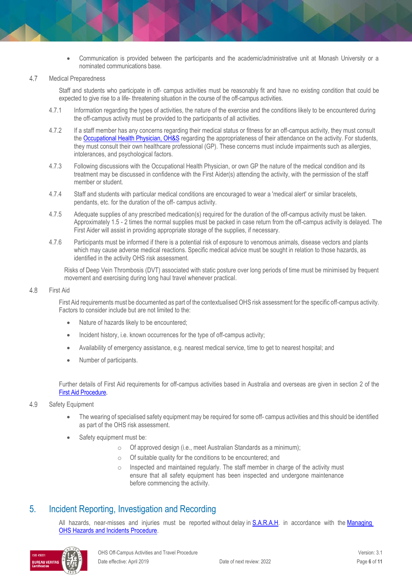Communication is provided between the participants and the academic/administrative unit at Monash University or a nominated communications base.

#### 4.7 Medical Preparedness

Staff and students who participate in off- campus activities must be reasonably fit and have no existing condition that could be expected to give rise to a life- threatening situation in the course of the off-campus activities.

- 4.7.1 Information regarding the types of activities, the nature of the exercise and the conditions likely to be encountered during the off-campus activity must be provided to the participants of all activities.
- 4.7.2 If a staff member has any concerns regarding their medical status or fitness for an off-campus activity, they must consult th[e Occupational Health Physician, OH&S](https://mon.clients.squiz.net/ohs/AboutUs/health-wellbeing/physician) regarding the appropriateness of their attendance on the activity. For students, they must consult their own healthcare professional (GP). These concerns must include impairments such as allergies, intolerances, and psychological factors.
- 4.7.3 Following discussions with the Occupational Health Physician, or own GP the nature of the medical condition and its treatment may be discussed in confidence with the First Aider(s) attending the activity, with the permission of the staff member or student.
- 4.7.4 Staff and students with particular medical conditions are encouraged to wear a 'medical alert' or similar bracelets, pendants, etc. for the duration of the off- campus activity.
- 4.7.5 Adequate supplies of any prescribed medication(s) required for the duration of the off-campus activity must be taken. Approximately 1.5 - 2 times the normal supplies must be packed in case return from the off-campus activity is delayed. The First Aider will assist in providing appropriate storage of the supplies, if necessary.
- 4.7.6 Participants must be informed if there is a potential risk of exposure to venomous animals, disease vectors and plants which may cause adverse medical reactions. Specific medical advice must be sought in relation to those hazards, as identified in the activity OHS risk assessment.

Risks of Deep Vein Thrombosis (DVT) associated with static posture over long periods of time must be minimised by frequent movement and exercising during long haul travel whenever practical.

#### 4.8 First Aid

First Aid requirements must be documented as part of the contextualised OHS risk assessment for the specific off-campus activity. Factors to consider include but are not limited to the:

- Nature of hazards likely to be encountered;
- Incident history, i.e. known occurrences for the type of off-campus activity;
- Availability of emergency assistance, e.g. nearest medical service, time to get to nearest hospital; and
- Number of participants.

Further details of First Aid requirements for off-campus activities based in Australia and overseas are given in section 2 of the [First Aid Procedure.](https://publicpolicydms.monash.edu/Monash/documents/1935610)

#### 4.9 Safety Equipment

- The wearing of specialised safety equipment may be required for some off- campus activities and this should be identified as part of the OHS risk assessment.
- Safety equipment must be:
	- o Of approved design (i.e., meet Australian Standards as a minimum);
	- o Of suitable quality for the conditions to be encountered; and
	- o Inspected and maintained regularly. The staff member in charge of the activity must ensure that all safety equipment has been inspected and undergone maintenance before commencing the activity.

### 5. Incident Reporting, Investigation and Recording

All hazards, near-misses and injuries must be reported without delay in [S.A.R.A.H.](https://www.monash.edu/ohs/report-incident-hazard) in accordance with the Managing [OHS Hazards and Incidents Procedure.](https://publicpolicydms.monash.edu/Monash/documents/1935623)

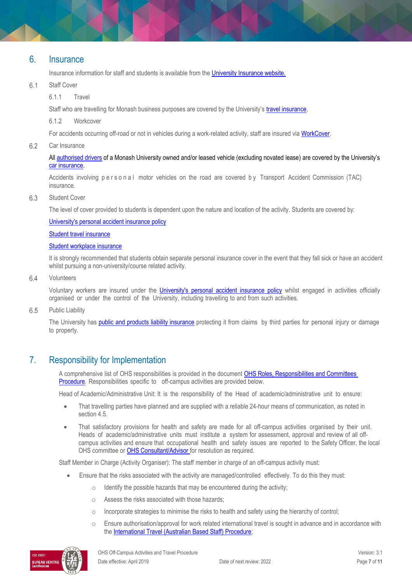#### 6. Insurance

Insurance information for staff and students is available from the [University Insurance website.](https://www.intranet.monash/finance/our-services/insurance)

#### 6.1 Staff Cover

6.1.1 Travel

Staff who are travelling for Monash business purposes are covered by the University's [travel insurance.](https://www.intranet.monash/finance/our-services/insurance/businesstravel)

6.1.2 Workcover

For accidents occurring off-road or not in vehicles during a work-related activity, staff are insured vi[a WorkCover.](https://www.monash.edu/__data/assets/pdf_file/0008/797489/WorkCover.pdf)

6.2 Car Insurance

> All [authorised drivers](http://www.adm.monash.edu.au/workplace-policy/remuneration/motor/terms.html) of a Monash University owned and/or leased vehicle (excluding novated lease) are covered by the University's [car insurance.](https://www.intranet.monash/finance/our-services/insurance/motorvehicle)

Accidents involving personal motor vehicles on the road are covered by Transport Accident Commission (TAC) insurance.

#### 6.3 Student Cover

The level of cover provided to students is dependent upon the nature and location of the activity. Students are covered by:

[University's personal accident insurance policy](https://www.intranet.monash/finance/our-services/insurance/studentpersonalaccident)

[Student travel insurance](https://www.intranet.monash/finance/our-services/insurance/student-travel)

#### [Student workplace insurance](https://www.intranet.monash/finance/our-services/insurance/student-workplace)

It is strongly recommended that students obtain separate personal insurance cover in the event that they fall sick or have an accident whilst pursuing a non-university/course related activity.

#### 64 Volunteers

Voluntary workers are insured under the *[University's](https://www.intranet.monash/finance/our-services/insurance/studentpersonalaccident) personal accident insurance policy* whilst engaged in activities officially organised or under the control of the University, including travelling to and from such activities.

6.5 Public Liability

> The University has public and products liability [insurance](https://www.intranet.monash/finance/our-services/insurance/allotherinsurance/general) protecting it from claims by third parties for personal injury or damage to property.

### 7. Responsibility for Implementation

A comprehensive list of OHS responsibilities is provided in the document OHS Roles, Responsibilities and Committees [Procedure.](https://publicpolicydms.monash.edu/Monash/documents/1935644) Responsibilities specific to off-campus activities are provided below.

Head of Academic/Administrative Unit: It is the responsibility of the Head of academic/administrative unit to ensure:

- That travelling parties have planned and are supplied with a reliable 24-hour means of communication, as noted in section 4.5.
- That satisfactory provisions for health and safety are made for all off-campus activities organised by their unit. Heads of academic/administrative units must institute a system for assessment, approval and review of all offcampus activities and ensure that occupational health and safety issues are reported to the Safety Officer, the local OHS committee or [OHS Consultant/Advisor](http://www.monash.edu.au/ohs/AboutUs) for resolution as required.

Staff Member in Charge (Activity Organiser): The staff member in charge of an off-campus activity must:

- Ensure that the risks associated with the activity are managed/controlled effectively. To do this they must:
	- $\circ$  Identify the possible hazards that may be encountered during the activity;
	- o Assess the risks associated with those hazards;
	- $\circ$  Incorporate strategies to minimise the risks to health and safety using the hierarchy of control;
	- $\circ$  Ensure authorisation/approval for work related international travel is sought in advance and in accordance with the [International Travel \(Australian Based Staff\) Procedure;](https://publicpolicydms.monash.edu/Monash/documents/1935693)

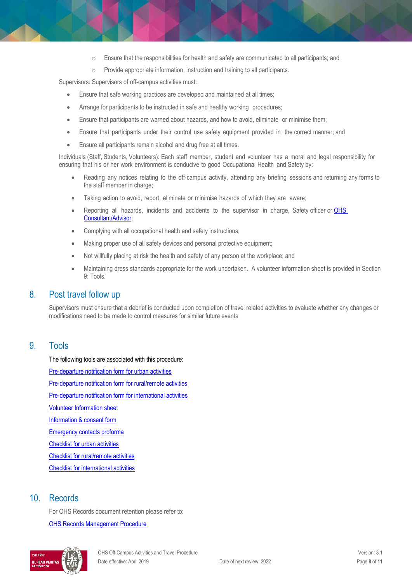- $\circ$  Ensure that the responsibilities for health and safety are communicated to all participants; and
- o Provide appropriate information, instruction and training to all participants.

Supervisors: Supervisors of off-campus activities must:

- Ensure that safe working practices are developed and maintained at all times;
- Arrange for participants to be instructed in safe and healthy working procedures;
- Ensure that participants are warned about hazards, and how to avoid, eliminate or minimise them;
- Ensure that participants under their control use safety equipment provided in the correct manner; and
- Ensure all participants remain alcohol and drug free at all times.

Individuals (Staff, Students, Volunteers): Each staff member, student and volunteer has a moral and legal responsibility for ensuring that his or her work environment is conducive to good Occupational Health and Safety by:

- Reading any notices relating to the off-campus activity, attending any briefing sessions and returning any forms to the staff member in charge;
- Taking action to avoid, report, eliminate or minimise hazards of which they are aware;
- Reporting all hazards, incidents and accidents to the supervisor in charge, Safety officer or **OHS** [Consultant/Advisor;](http://www.monash.edu.au/ohs/AboutUs)
- Complying with all occupational health and safety instructions;
- Making proper use of all safety devices and personal protective equipment;
- Not willfully placing at risk the health and safety of any person at the workplace; and
- Maintaining dress standards appropriate for the work undertaken. A volunteer information sheet is provided in Section 9: Tools.

### 8. Post travel follow up

Supervisors must ensure that a debrief is conducted upon completion of travel related activities to evaluate whether any changes or modifications need to be made to control measures for similar future events.

### 9. Tools

The following tools are associated with this procedure: [Pre-departure notification form for urban activities](http://www.monash.edu/__data/assets/pdf_file/0020/123068/pre-notify-urban.pdf) [Pre-departure notification form for rural/remote activities](http://www.monash.edu/__data/assets/pdf_file/0019/123067/pre-notify-rural-remote.pdf) [Pre-departure notification form for international activities](http://www.monash.edu/__data/assets/pdf_file/0018/123066/pre-notify-international.pdf) [Volunteer Information sheet](http://www.monash.edu/__data/assets/pdf_file/0007/126178/volunteer-infor.pdf) [Information & consent form](http://www.monash.edu/__data/assets/pdf_file/0016/122911/infor-consent.pdf) [Emergency contacts proforma](http://www.monash.edu/__data/assets/pdf_file/0011/199208/emergency-contacts.pdf) [Checklist for urban activities](http://www.monash.edu/__data/assets/pdf_file/0019/113725/checklist-urban.pdf) [Checklist for rural/remote activities](http://www.monash.edu/__data/assets/pdf_file/0018/113724/checklist-rural-remote.pdf) [Checklist for international activities](http://www.monash.edu/__data/assets/pdf_file/0016/113713/checklist-international.pdf)

### 10. Records

For OHS Records document retention please refer to: [OHS Records Management Procedure](https://publicpolicydms.monash.edu/Monash/documents/1935642)

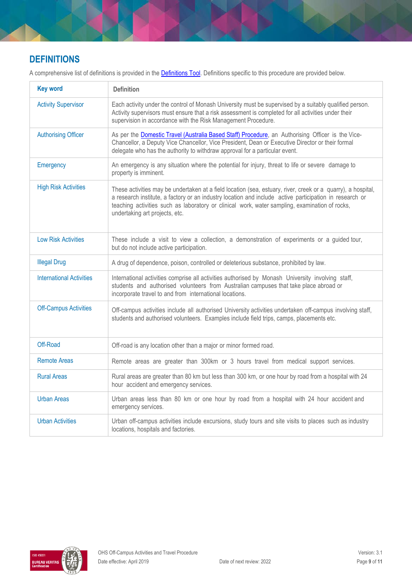### **DEFINITIONS**

A comprehensive list of definitions is provided in the **Definitions Tool**. Definitions specific to this procedure are provided below.

| <b>Key word</b>                                                                                                                                                          | <b>Definition</b>                                                                                                                                                                                                                                                                                                                                           |  |
|--------------------------------------------------------------------------------------------------------------------------------------------------------------------------|-------------------------------------------------------------------------------------------------------------------------------------------------------------------------------------------------------------------------------------------------------------------------------------------------------------------------------------------------------------|--|
| <b>Activity Supervisor</b>                                                                                                                                               | Each activity under the control of Monash University must be supervised by a suitably qualified person.<br>Activity supervisors must ensure that a risk assessment is completed for all activities under their<br>supervision in accordance with the Risk Management Procedure.                                                                             |  |
| <b>Authorising Officer</b>                                                                                                                                               | As per the <b>Domestic Travel (Australia Based Staff) Procedure</b> , an Authorising Officer is the Vice-<br>Chancellor, a Deputy Vice Chancellor, Vice President, Dean or Executive Director or their formal<br>delegate who has the authority to withdraw approval for a particular event.                                                                |  |
| Emergency                                                                                                                                                                | An emergency is any situation where the potential for injury, threat to life or severe damage to<br>property is imminent.                                                                                                                                                                                                                                   |  |
| <b>High Risk Activities</b>                                                                                                                                              | These activities may be undertaken at a field location (sea, estuary, river, creek or a quarry), a hospital,<br>a research institute, a factory or an industry location and include active participation in research or<br>teaching activities such as laboratory or clinical work, water sampling, examination of rocks,<br>undertaking art projects, etc. |  |
| <b>Low Risk Activities</b>                                                                                                                                               | These include a visit to view a collection, a demonstration of experiments or a guided tour,<br>but do not include active participation.                                                                                                                                                                                                                    |  |
| <b>Illegal Drug</b>                                                                                                                                                      | A drug of dependence, poison, controlled or deleterious substance, prohibited by law.                                                                                                                                                                                                                                                                       |  |
| <b>International Activities</b>                                                                                                                                          | International activities comprise all activities authorised by Monash University involving staff,<br>students and authorised volunteers from Australian campuses that take place abroad or<br>incorporate travel to and from international locations.                                                                                                       |  |
| <b>Off-Campus Activities</b>                                                                                                                                             | Off-campus activities include all authorised University activities undertaken off-campus involving staff,<br>students and authorised volunteers. Examples include field trips, camps, placements etc.                                                                                                                                                       |  |
| Off-Road                                                                                                                                                                 | Off-road is any location other than a major or minor formed road.                                                                                                                                                                                                                                                                                           |  |
| <b>Remote Areas</b>                                                                                                                                                      | Remote areas are greater than 300km or 3 hours travel from medical support services.                                                                                                                                                                                                                                                                        |  |
| <b>Rural Areas</b>                                                                                                                                                       | Rural areas are greater than 80 km but less than 300 km, or one hour by road from a hospital with 24<br>hour accident and emergency services.                                                                                                                                                                                                               |  |
| <b>Urban Areas</b>                                                                                                                                                       | Urban areas less than 80 km or one hour by road from a hospital with 24 hour accident and<br>emergency services.                                                                                                                                                                                                                                            |  |
| <b>Urban Activities</b><br>Urban off-campus activities include excursions, study tours and site visits to places such as industry<br>locations, hospitals and factories. |                                                                                                                                                                                                                                                                                                                                                             |  |

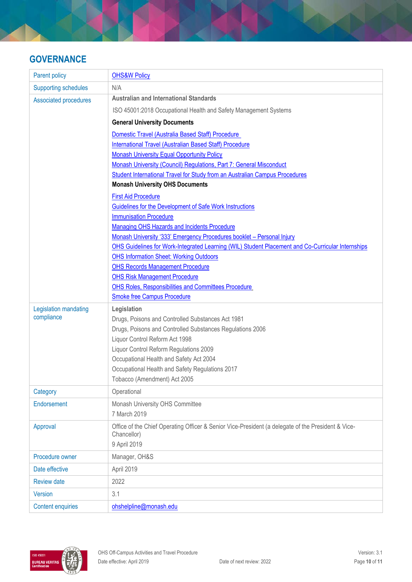# **GOVERNANCE**

| <b>Parent policy</b>         | <b>OHS&amp;W Policy</b>                                                                                                                             |
|------------------------------|-----------------------------------------------------------------------------------------------------------------------------------------------------|
| <b>Supporting schedules</b>  | N/A                                                                                                                                                 |
| <b>Associated procedures</b> | <b>Australian and International Standards</b>                                                                                                       |
|                              | ISO 45001:2018 Occupational Health and Safety Management Systems                                                                                    |
|                              | <b>General University Documents</b>                                                                                                                 |
|                              | Domestic Travel (Australia Based Staff) Procedure                                                                                                   |
|                              | International Travel (Australian Based Staff) Procedure                                                                                             |
|                              | <b>Monash University Equal Opportunity Policy</b>                                                                                                   |
|                              | Monash University (Council) Regulations, Part 7: General Misconduct                                                                                 |
|                              | Student International Travel for Study from an Australian Campus Procedures                                                                         |
|                              | <b>Monash University OHS Documents</b>                                                                                                              |
|                              | <b>First Aid Procedure</b>                                                                                                                          |
|                              | Guidelines for the Development of Safe Work Instructions                                                                                            |
|                              | <b>Immunisation Procedure</b>                                                                                                                       |
|                              | Managing OHS Hazards and Incidents Procedure                                                                                                        |
|                              | Monash University '333' Emergency Procedures booklet - Personal Injury                                                                              |
|                              | OHS Guidelines for Work-Integrated Learning (WIL) Student Placement and Co-Curricular Internships<br><b>OHS Information Sheet: Working Outdoors</b> |
|                              | <b>OHS Records Management Procedure</b>                                                                                                             |
|                              | <b>OHS Risk Management Procedure</b>                                                                                                                |
|                              | OHS Roles, Responsibilities and Committees Procedure                                                                                                |
|                              | <b>Smoke free Campus Procedure</b>                                                                                                                  |
| Legislation mandating        | Legislation                                                                                                                                         |
| compliance                   | Drugs, Poisons and Controlled Substances Act 1981                                                                                                   |
|                              | Drugs, Poisons and Controlled Substances Regulations 2006                                                                                           |
|                              | Liquor Control Reform Act 1998                                                                                                                      |
|                              | Liquor Control Reform Regulations 2009                                                                                                              |
|                              | Occupational Health and Safety Act 2004                                                                                                             |
|                              | Occupational Health and Safety Regulations 2017                                                                                                     |
|                              | Tobacco (Amendment) Act 2005                                                                                                                        |
| Category                     | Operational                                                                                                                                         |
| Endorsement                  | Monash University OHS Committee                                                                                                                     |
|                              | 7 March 2019                                                                                                                                        |
| Approval                     | Office of the Chief Operating Officer & Senior Vice-President (a delegate of the President & Vice-                                                  |
|                              | Chancellor)                                                                                                                                         |
|                              | 9 April 2019                                                                                                                                        |
| Procedure owner              | Manager, OH&S                                                                                                                                       |
| Date effective               | April 2019                                                                                                                                          |
| <b>Review date</b>           | 2022                                                                                                                                                |
| <b>Version</b>               | 3.1                                                                                                                                                 |
| <b>Content enquiries</b>     | ohshelpline@monash.edu                                                                                                                              |